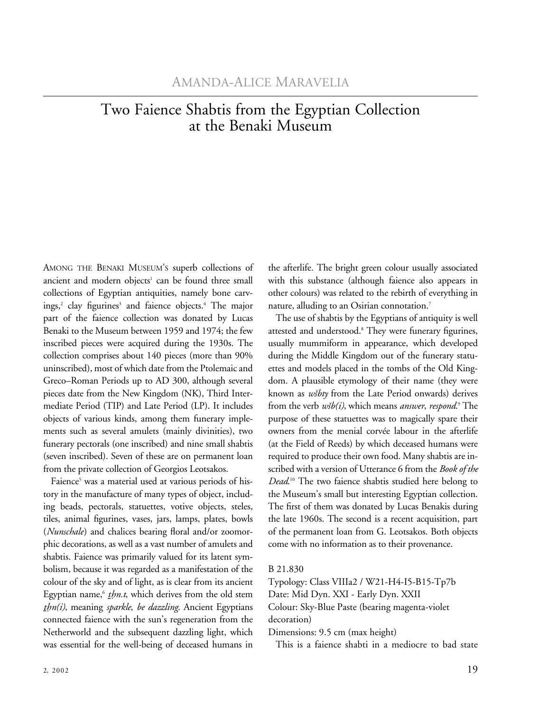## Two Faience Shabtis from the Egyptian Collection at the Benaki Museum

AMONG THE BENAKI MUSEUM'S superb collections of ancient and modern objects<sup>1</sup> can be found three small collections of Egyptian antiquities, namely bone carvings,<sup>2</sup> clay figurines<sup>3</sup> and faience objects.<sup>4</sup> The major part of the faience collection was donated by Lucas Benaki to the Museum between 1959 and 1974; the few inscribed pieces were acquired during the 1930s. The collection comprises about 140 pieces (more than 90% uninscribed), most of which date from the Ptolemaic and Greco–Roman Periods up to AD 300, although several pieces date from the New Kingdom (NK), Third Intermediate Period (TIP) and Late Period (LP). It includes objects of various kinds, among them funerary implements such as several amulets (mainly divinities), two funerary pectorals (one inscribed) and nine small shabtis (seven inscribed). Seven of these are on permanent loan from the private collection of Georgios Leotsakos.

Faience<sup>5</sup> was a material used at various periods of history in the manufacture of many types of object, including beads, pectorals, statuettes, votive objects, steles, tiles, animal figurines, vases, jars, lamps, plates, bowls (*Nunschale*) and chalices bearing floral and/or zoomorphic decorations, as well as a vast number of amulets and shabtis. Faience was primarily valued for its latent symbolism, because it was regarded as a manifestation of the colour of the sky and of light, as is clear from its ancient Egyptian name,<sup>6</sup> *thn.t*, which derives from the old stem *t Ên(ἰ)*, meaning *sparkle*, *be dazzling*. Ancient Egyptians connected faience with the sun's regeneration from the Netherworld and the subsequent dazzling light, which was essential for the well-being of deceased humans in

the afterlife. The bright green colour usually associated with this substance (although faience also appears in other colours) was related to the rebirth of everything in nature, alluding to an Osirian connotation.<sup>7</sup>

The use of shabtis by the Egyptians of antiquity is well attested and understood.8 They were funerary figurines, usually mummiform in appearance, which developed during the Middle Kingdom out of the funerary statuettes and models placed in the tombs of the Old Kingdom. A plausible etymology of their name (they were known as *wëbty* from the Late Period onwards) derives from the verb  $w\ddot{s}b(i)$ , which means *answer*, *respond*.<sup>9</sup> The purpose of these statuettes was to magically spare their owners from the menial corvée labour in the afterlife (at the Field of Reeds) by which deceased humans were required to produce their own food. Many shabtis are inscribed with a version of Utterance 6 from the *Book of the Dead*. 10 The two faience shabtis studied here belong to the Museum's small but interesting Egyptian collection. The first of them was donated by Lucas Benakis during the late 1960s. The second is a recent acquisition, part of the permanent loan from G. Leotsakos. Both objects come with no information as to their provenance.

## B 21.830

Typology: Class VIIIa2 / W21-H4-I5-B15-Tp7b Date: Mid Dyn. XXI - Early Dyn. XXII Colour: Sky-Blue Paste (bearing magenta-violet decoration)

Dimensions: 9.5 cm (max height)

This is a faience shabti in a mediocre to bad state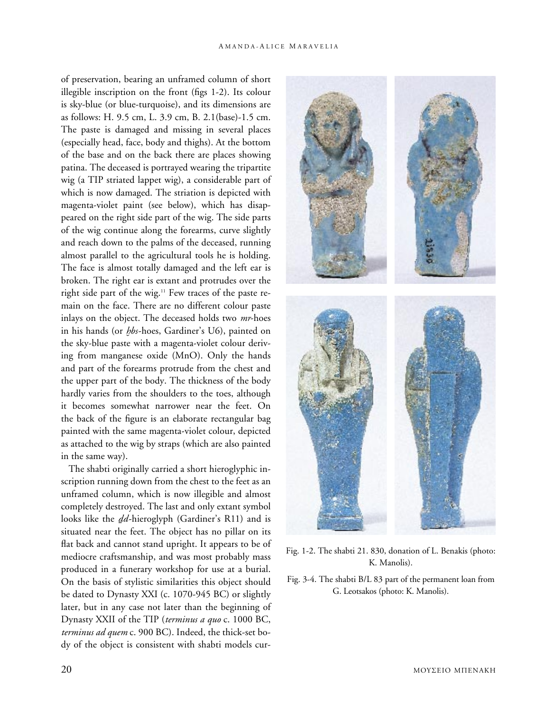of preservation, bearing an unframed column of short illegible inscription on the front (figs 1-2). Its colour is sky-blue (or blue-turquoise), and its dimensions are as follows: H. 9.5 cm, L. 3.9 cm, B. 2.1(base)-1.5 cm. The paste is damaged and missing in several places (especially head, face, body and thighs). At the bottom of the base and on the back there are places showing patina. The deceased is portrayed wearing the tripartite wig (a TIP striated lappet wig), a considerable part of which is now damaged. The striation is depicted with magenta-violet paint (see below), which has disappeared on the right side part of the wig. The side parts of the wig continue along the forearms, curve slightly and reach down to the palms of the deceased, running almost parallel to the agricultural tools he is holding. The face is almost totally damaged and the left ear is broken. The right ear is extant and protrudes over the right side part of the wig.<sup>11</sup> Few traces of the paste remain on the face. There are no different colour paste inlays on the object. The deceased holds two *mr*-hoes in his hands (or *h bs*-hoes, Gardiner's U6), painted on  the sky-blue paste with a magenta-violet colour deriving from manganese oxide (MnO). Only the hands and part of the forearms protrude from the chest and the upper part of the body. The thickness of the body hardly varies from the shoulders to the toes, although it becomes somewhat narrower near the feet. On the back of the figure is an elaborate rectangular bag painted with the same magenta-violet colour, depicted as attached to the wig by straps (which are also painted in the same way).

The shabti originally carried a short hieroglyphic inscription running down from the chest to the feet as an unframed column, which is now illegible and almost completely destroyed. The last and only extant symbol looks like the *dd*-hieroglyph (Gardiner's R11) and is situated near the feet. The object has no pillar on its flat back and cannot stand upright. It appears to be of mediocre craftsmanship, and was most probably mass produced in a funerary workshop for use at a burial. On the basis of stylistic similarities this object should be dated to Dynasty XXI (c. 1070-945 BC) or slightly later, but in any case not later than the beginning of Dynasty XXII of the TIP (*terminus a quo* c. 1000 BC, *terminus ad quem* c. 900 BC). Indeed, the thick-set body of the object is consistent with shabti models cur-



Fig. 1-2. The shabti 21. 830, donation of L. Benakis (photo: K. Manolis).

Fig. 3-4. The shabti B/L 83 part of the permanent loan from G. Leotsakos (photo: K. Manolis).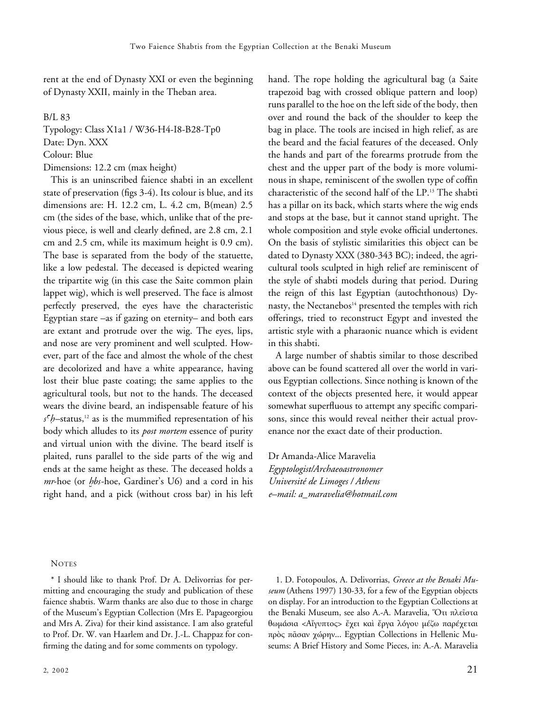rent at the end of Dynasty XXI or even the beginning of Dynasty XXII, mainly in the Theban area.

B/L 83

Typology: Class X1a1 / W36-H4-I8-B28-Tp0 Date: Dyn. XXX Colour: Blue Dimensions: 12.2 cm (max height)

This is an uninscribed faience shabti in an excellent state of preservation (figs 3-4). Its colour is blue, and its dimensions are: H. 12.2 cm, L. 4.2 cm, B(mean) 2.5 cm (the sides of the base, which, unlike that of the previous piece, is well and clearly defined, are 2.8 cm, 2.1 cm and 2.5 cm, while its maximum height is 0.9 cm). The base is separated from the body of the statuette, like a low pedestal. The deceased is depicted wearing the tripartite wig (in this case the Saite common plain lappet wig), which is well preserved. The face is almost perfectly preserved, the eyes have the characteristic Egyptian stare –as if gazing on eternity– and both ears are extant and protrude over the wig. The eyes, lips, and nose are very prominent and well sculpted. However, part of the face and almost the whole of the chest are decolorized and have a white appearance, having lost their blue paste coating; the same applies to the agricultural tools, but not to the hands. The deceased wears the divine beard, an indispensable feature of his  $s<sup>c</sup>b$ –status,<sup>12</sup> as is the mummified representation of his body which alludes to its *post mortem* essence of purity and virtual union with the divine. The beard itself is plaited, runs parallel to the side parts of the wig and ends at the same height as these. The deceased holds a *mr*-hoe (or *h bs*-hoe, Gardiner's U6) and a cord in his  right hand, and a pick (without cross bar) in his left hand. The rope holding the agricultural bag (a Saite trapezoid bag with crossed oblique pattern and loop) runs parallel to the hoe on the left side of the body, then over and round the back of the shoulder to keep the bag in place. The tools are incised in high relief, as are the beard and the facial features of the deceased. Only the hands and part of the forearms protrude from the chest and the upper part of the body is more voluminous in shape, reminiscent of the swollen type of coffin characteristic of the second half of the LP.13 The shabti has a pillar on its back, which starts where the wig ends and stops at the base, but it cannot stand upright. The whole composition and style evoke official undertones. On the basis of stylistic similarities this object can be dated to Dynasty XXX (380-343 BC); indeed, the agricultural tools sculpted in high relief are reminiscent of the style of shabti models during that period. During the reign of this last Egyptian (autochthonous) Dynasty, the Nectanebos<sup>14</sup> presented the temples with rich offerings, tried to reconstruct Egypt and invested the artistic style with a pharaonic nuance which is evident in this shabti.

A large number of shabtis similar to those described above can be found scattered all over the world in various Egyptian collections. Since nothing is known of the context of the objects presented here, it would appear somewhat superfluous to attempt any specific comparisons, since this would reveal neither their actual provenance nor the exact date of their production.

Dr Amanda-Alice Maravelia *Egyptologist/Archaeoastronomer Université de Limoges / Athens e–mail: a\_maravelia@hotmail.com*

## **NOTES**

\* I should like to thank Prof. Dr A. Delivorrias for permitting and encouraging the study and publication of these faience shabtis. Warm thanks are also due to those in charge of the Museum's Egyptian Collection (Mrs E. Papageorgiou and Mrs A. Ziva) for their kind assistance. I am also grateful to Prof. Dr. W. van Haarlem and Dr. J.-L. Chappaz for confirming the dating and for some comments on typology.

1. D. Fotopoulos, A. Delivorrias, *Greece at the Benaki Museum* (Athens 1997) 130-33, for a few of the Egyptian objects on display. For an introduction to the Egyptian Collections at the Benaki Museum, see also A.-A. Maravelia, Ὅτι πλεῖστα θωμάσια <Αἴγυπτος> ἔχει καὶ ἔργα λόγου μέζω παρέχεται πρὸς πᾶσαν χώρην... Egyptian Collections in Hellenic Museums: A Brief History and Some Pieces, in: A.-A. Maravelia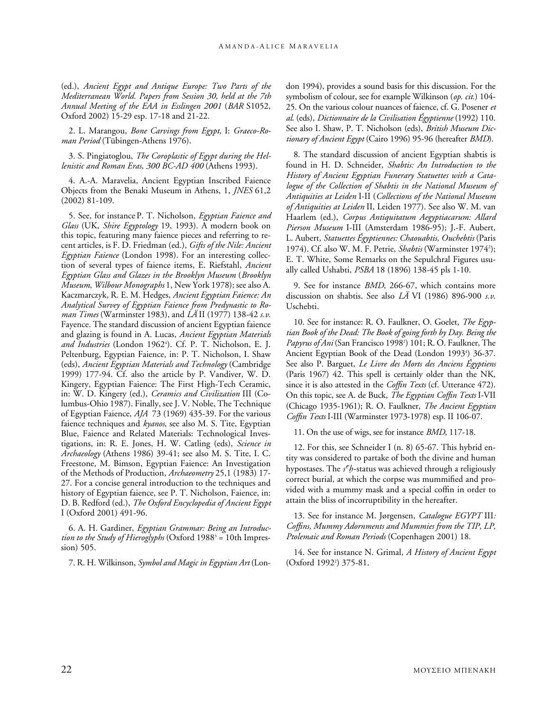(ed.), *Ancient Egypt and Antique Europe: Two Parts of the Mediterranean World. Papers from Session 30, held at the 7th Annual Meeting of the EAA in Esslingen 2001* (*BAR* S1052, Oxford 2002) 15-29 esp. 17-18 and 21-22.

2. L. Marangou, *Bone Carvings from Egypt,* I: *Graeco-Roman Period* (Tübingen-Athens 1976).

3. S. Pingiatoglou, *The Coroplastic of Egypt during the Hellenistic and Roman Eras, 300 BC-AD 400* (Athens 1993).

4. A.-A. Maravelia, Ancient Egyptian Inscribed Faience Objects from the Benaki Museum in Athens, 1, *JNES* 61,2 (2002) 81-109.

5. See, for instance P. T. Nicholson, *Egyptian Faience and Glass* (UK, *Shire Egyptology* 19, 1993). A modern book on this topic, featuring many faience pieces and referring to recent articles, is F. D. Friedman (ed.), *Gifts of the Nile: Ancient Egyptian Faience* (London 1998). For an interesting collection of several types of faience items, E. Riefstahl, *Ancient Egyptian Glass and Glazes in the Brooklyn Museum* (*Brooklyn Museum*, *Wilbour Monographs* 1, New York 1978); see also A. Kaczmarczyk, R. E. M. Hedges, *Ancient Egyptian Faience: An Analytical Survey of Egyptian Faience from Predynastic to Roman Times* (Warminster 1983), and *LÄ* II (1977) 138-42 *s.v.* Fayence. The standard discussion of ancient Egyptian faience and glazing is found in A. Lucas, *Ancient Egyptian Materials*  and Industries (London 1962<sup>4</sup>). Cf. P. T. Nicholson, E. J. Peltenburg, Egyptian Faience, in: P. T. Nicholson, I. Shaw (eds), *Ancient Egyptian Materials and Technology* (Cambridge 1999) 177-94. Cf. also the article by P. Vandiver, W. D. Kingery, Egyptian Faience: The First High-Tech Ceramic, in: W. D. Kingery (ed.), *Ceramics and Civilization* III (Columbus-Ohio 1987). Finally, see J. V. Noble, The Technique of Egyptian Faience, *AJA* 73 (1969) 435-39. For the various faience techniques and *kyanos*, see also M. S. Tite, Egyptian Blue, Faience and Related Materials: Technological Investigations, in: R. E. Jones, H. W. Catling (eds), *Science in Archaeology* (Athens 1986) 39-41; see also M. S. Tite, I. C. Freestone, M. Bimson, Egyptian Faience: An Investigation of the Methods of Production, *Archaeometry* 25,1 (1983) 17- 27. For a concise general introduction to the techniques and history of Egyptian faience, see P. T. Nicholson, Faience, in: D. B. Redford (ed.), *The Oxford Encyclopedia of Ancient Egypt* I (Oxford 2001) 491-96.

6. A. H. Gardiner, *Egyptian Grammar: Being an Introduc*tion to the Study of Hieroglyphs (Oxford 1988<sup>3</sup> = 10th Impression) 505.

7. R. H. Wilkinson, *Symbol and Magic in Egyptian Art* (Lon-

don 1994), provides a sound basis for this discussion. For the symbolism of colour, see for example Wilkinson (*op. cit.*) 104- 25. On the various colour nuances of faience, cf. G. Posener *et al*. (eds), *Dictionnaire de la Civilisation Égyptienne* (1992) 110. See also I. Shaw, P. T. Nicholson (eds), *British Museum Dictionary of Ancient Egypt* (Cairo 1996) 95-96 (hereafter *BMD*).

8. The standard discussion of ancient Egyptian shabtis is found in H. D. Schneider, *Shabtis: An Introduction to the History of Ancient Egyptian Funerary Statuettes with a Catalogue of the Collection of Shabtis in the National Museum of Antiquities at Leiden* I-II (*Collections of the National Museum of Antiquities at Leiden* II, Leiden 1977). See also W. M. van Haarlem (ed.), *Corpus Antiquitatum Aegyptiacarum: Allard Pierson Museum* I-III (Amsterdam 1986-95); J.-F. Aubert, L. Aubert, *Statuettes Égyptiennes: Chaouabtis, Ouchebtis* (Paris 1974). Cf. also W. M. F. Petrie, *Shabtis* (Warminster 1974<sup>2</sup>); E. T. White, Some Remarks on the Sepulchral Figures usually called Ushabti, *PSBA* 18 (1896) 138-45 pls 1-10.

9. See for instance *BMD*, 266-67, which contains more discussion on shabtis. See also *LÄ* VI (1986) 896-900 *s.v*. Uschebti.

10. See for instance: R. O. Faulkner, O. Goelet, *The Egyptian Book of the Dead: The Book of going forth by Day. Being the Papyrus of Ani* (San Francisco 19982 ) 101; R. O. Faulkner, The Ancient Egyptian Book of the Dead (London 1993<sup>4</sup>) 36-37. See also P. Barguet, *Le Livre des Morts des Anciens Égyptiens* (Paris 1967) 42. This spell is certainly older than the NK, since it is also attested in the *Coffin Texts* (cf. Utterance 472). On this topic, see A. de Buck, *The Egyptian Coffin Texts* I-VII (Chicago 1935-1961); R. O. Faulkner, *The Ancient Egyptian Coffin Texts* I-III (Warminster 1973-1978) esp. II 106-07.

11. On the use of wigs, see for instance *BMD*, 117-18.

12. For this, see Schneider I (n. 8) 65-67. This hybrid entity was considered to partake of both the divine and human hypostases. The *s<sup>c</sup>h*-status was achieved through a religiously correct burial, at which the corpse was mummified and provided with a mummy mask and a special coffin in order to attain the bliss of incorruptibility in the hereafter.

13. See for instance M. Jørgensen, *Catalogue EGYPT* III*: Coffins, Mummy Adornments and Mummies from the TIP, LP, Ptolemaic and Roman Periods* (Copenhagen 2001) 18.

14. See for instance N. Grimal, *A History of Ancient Egypt* (Oxford 1992<sup>2</sup>) 375-81.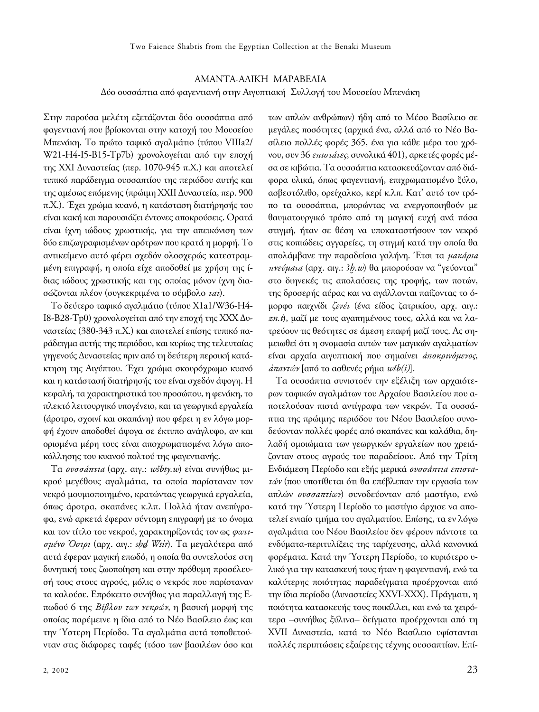## AΜAΝΤΑ-AΛΙΚΗ MΑΡΑΒΕΛΙΑ Δύο ουσσάπτια από φαγεντιανή στην Αιγυπτιακή Συλλογή του Μουσείου Μπενάκη

Στην παρούσα μελέτη εξετάζονται δύο ουσσάπτια από φαγεντιανή που βρίσκονται στην κατοχή του Μουσείου Μπενάκη. Το πρώτο ταφικό αγαλμάτιο (τύπου VIIIa2/ W21-H4-I5-B15-Tp7b) χρονολογείται από την εποχή της ΧΧΙ Δυναστείας (περ. 1070-945 π.Χ.) και αποτελεί τυπικό παράδειγμα ουσσαπτίου της περιόδου αυτής και της αμέσως επόμενης (πρώιμη ΧΧΙΙ Δυναστεία, περ. 900 π.Χ.). Έχει χρώμα κυανό, η κατάσταση διατήρησής του είναι κακή και παρουσιάζει έντονες αποκρούσεις. Ορατά είναι ίχνη ιώδους χρωστικής, για την απεικόνιση των δύο επιζωγραφισμένων αρότρων που κρατά η μορφή. Το αντικείμενο αυτό φέρει σχεδόν ολοσχερώς κατεστραμμένη επιγραφή, η οποία είχε αποδοθεί με χρήση της ίδιας ιώδους χρωστικής και της οποίας μόνον ίχνη διασώζονται πλέον (συγκεκριμένα το σύμβολο *τατ*).

Το δεύτερο ταφικό αγαλμάτιο (τύπου X1a1/W36-H4- I8-B28-Tp0) χρονολογείται από την εποχή της ΧΧΧ Δυναστείας (380-343 π.Χ.) και αποτελεί επίσης τυπικό παράδειγμα αυτής της περιόδου, και κυρίως της τελευταίας γηγενούς Δυναστείας πριν από τη δεύτερη περσική κατάκτηση της Αιγύπτου. Έχει χρώμα σκουρόχρωμο κυανό και η κατάστασή διατήρησής του είναι σχεδόν άψογη. Η κεφαλή, τα χαρακτηριστικά του προσώπου, η φενάκη, το πλεκτό λειτουργικό υπογένειο, και τα γεωργικά εργαλεία (άροτρο, σχοινί και σκαπάνη) που φέρει η εν λόγω μορφή έχουν αποδοθεί άψογα σε έκτυπο ανάγλυφο, αν και ορισμένα μέρη τους είναι αποχρωματισμένα λόγω αποκόλλησης του κυανού πολτού της φαγεντιανής.

Τα *ουσσάπτια* (αρχ. αιγ.: *wëbty.w*) είναι συνήθως μικρού μεγέθους αγαλμάτια, τα οποία παρίσταναν τον νεκρό μουμιοποιημένο, κρατώντας γεωργικά εργαλεία, όπως άροτρα, σκαπάνες κ.λπ. Πολλά ήταν ανεπίγραφα, ενώ αρκετά έφεραν σύντομη επιγραφή με το όνομα και τον τίτλο του νεκρού, χαρακτηρίζοντάς τον ως *φωτισμένο Όσιρι* (αρχ. αιγ.: *sÊ1⁄4 Wsἰr*). Τα μεγαλύτερα από αυτά έφεραν μαγική επωδό, η οποία θα συντελούσε στη δυνητική τους ζωοποίηση και στην πρόθυμη προσέλευσή τους στους αγρούς, μόλις ο νεκρός που παρίσταναν τα καλούσε. Επρόκειτο συνήθως για παραλλαγή της Επωδού 6 της *Βίβλου των νεκρών*, η βασική μορφή της οποίας παρέμεινε η ίδια από το Νέο Βασίλειο έως και την Ύστερη Περίοδο. Τα αγαλμάτια αυτά τοποθετούνταν στις διάφορες ταφές (τόσο των βασιλέων όσο και

των απλών ανθρώπων) ήδη από το Μέσο Βασίλειο σε μεγάλες ποσότητες (αρχικά ένα, αλλά από το Νέο Βασίλειο πολλές φορές 365, ένα για κάθε μέρα του χρόνου, συν 36 *επιστάτες*, συνολικά 401), αρκετές φορές μέσα σε κιβώτια. Τα ουσσάπτια κατασκευάζονταν από διάφορα υλικά, όπως φαγεντιανή, επιχρωματισμένο ξύλο, ασβεστόλιθο, ορείχαλκο, κερί κ.λπ. Κατ' αυτό τον τρόπο τα ουσσάπτια, μπορώντας να ενεργοποιηθούν με θαυματουργικό τρόπο από τη μαγική ευχή ανά πάσα στιγμή, ήταν σε θέση να υποκαταστήσουν τον νεκρό στις κοπιώδεις αγγαρείες, τη στιγμή κατά την οποία θα απολάμβανε την παραδείσια γαλήνη. Έτσι τα *μακάρια πνεύματα* (αρχ. αιγ.: *Ah .w*) θα μπορούσαν να "γεύονται"  στο διηνεκές τις απολαύσεις της τροφής, των ποτών, της δροσερής αύρας και να αγάλλονται παίζοντας το όμορφο παιχνίδι *ζενέτ* (ένα είδος ζατρικίου, αρχ. αιγ.: *zn.t*), μαζί με τους αγαπημένους τους, αλλά και να λατρεύουν τις θεότητες σε άμεση επαφή μαζί τους. Ας σημειωθεί ότι η ονομασία αυτών των μαγικών αγαλματίων είναι αρχαία αιγυπτιακή που σημαίνει *ἀποκρινόμενος*, *ἀπαντών* [από το ασθενές ρήμα *wëb(i)*].

Τα ουσσάπτια συνιστούν την εξέλιξη των αρχαιότερων ταφικών αγαλμάτων του Αρχαίου Βασιλείου που αποτελούσαν πιστά αντίγραφα των νεκρών. Τα ουσσάπτια της πρώιμης περιόδου του Νέου Βασιλείου συνοδεύονταν πολλές φορές από σκαπάνες και καλάθια, δηλαδή ομοιώματα των γεωργικών εργαλείων που χρειάζονταν στους αγρούς του παραδείσου. Από την Τρίτη Ενδιάμεση Περίοδο και εξής μερικά *ουσσάπτια επιστατών* (που υποτίθεται ότι θα επέβλεπαν την εργασία των απλών *ουσσαπτίων*) συνοδεύονταν από μαστίγιο, ενώ κατά την Ύστερη Περίοδο το μαστίγιο άρχισε να αποτελεί ενιαίο τμήμα του αγαλματίου. Επίσης, τα εν λόγω αγαλμάτια του Νέου Βασιλείου δεν φέρουν πάντοτε τα ενδύματα-περιτυλίξεις της ταρίχευσης, αλλά κανονικά φορέματα. Κατά την Ύστερη Περίοδο, το κυριότερο υλικό για την κατασκευή τους ήταν η φαγεντιανή, ενώ τα καλύτερης ποιότητας παραδείγματα προέρχονται από την ίδια περίοδο (Δυναστείες ΧΧVΙ-ΧΧΧ). Πράγματι, η ποιότητα κατασκευής τους ποικίλλει, και ενώ τα χειρότερα –συνήθως ξύλινα– δείγματα προέρχονται από τη ΧVΙΙ Δυναστεία, κατά το Νέο Βασίλειο υφίστανται πολλές περιπτώσεις εξαίρετης τέχνης ουσσαπτίων. Επί